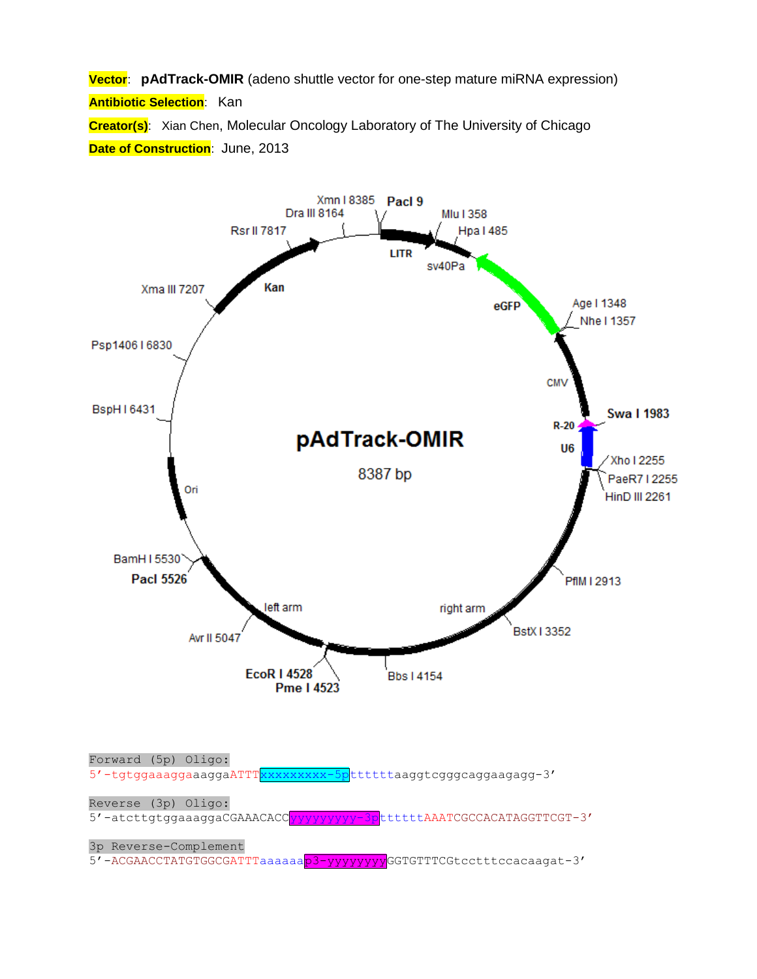**Vector**: **pAdTrack-OMIR** (adeno shuttle vector for one-step mature miRNA expression) **Antibiotic Selection**: Kan **Creator(s)**: Xian Chen, Molecular Oncology Laboratory of The University of Chicago **Date of Construction: June, 2013** 

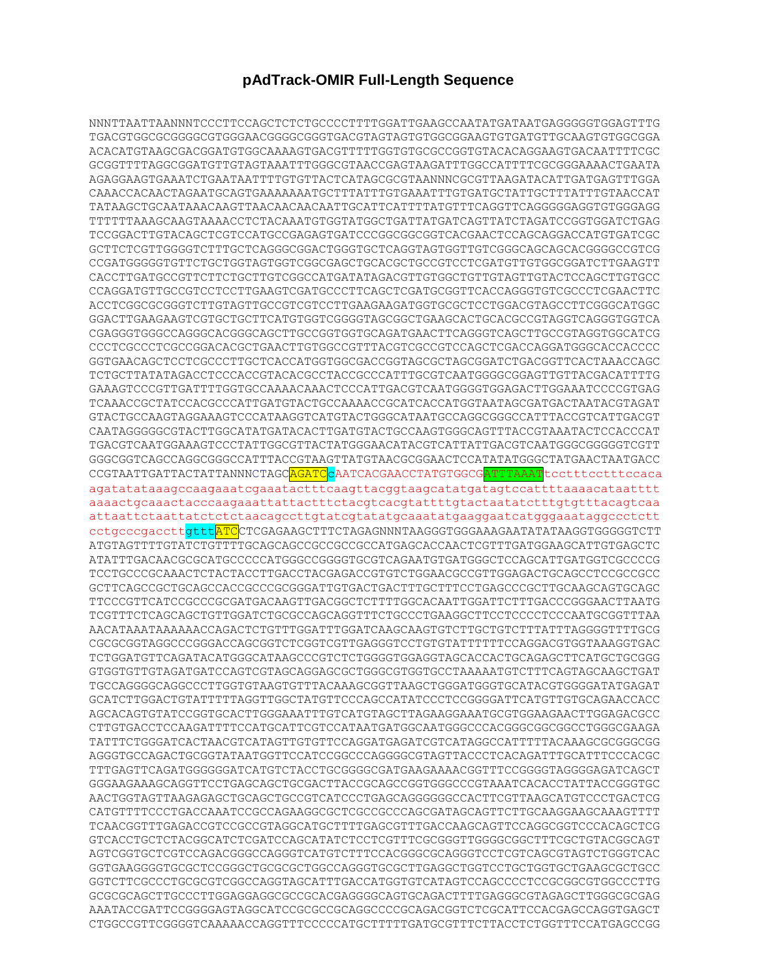## **pAdTrack-OMIR Full-Length Sequence**

NNNTTAATTAANNNTCCCTTCCAGCTCTCTGCCCCTTTTGGATTGAAGCCAATATGATAATGAGGGGGTGGAGTTTG TGACGTGGCGCGGGGCGTGGGAACGGGGCGGGTGACGTAGTAGTGTGGCGGAAGTGTGATGTTGCAAGTGTGGCGGA ACACATGTAAGCGACGGATGTGGCAAAAGTGACGTTTTTGGTGTGCGCCGGTGTACACAGGAAGTGACAATTTTCGC GCGGTTTTAGGCGGATGTTGTAGTAAATTTGGGCGTAACCGAGTAAGATTTGGCCATTTTCGCGGGAAAACTGAATA AGAGGAAGTGAAATCTGAATAATTTTGTGTTACTCATAGCGCGTAANNNCGCGTTAAGATACATTGATGAGTTTGGA CAAACCACAACTAGAATGCAGTGAAAAAAATGCTTTATTTGTGAAATTTGTGATGCTATTGCTTTATTTGTAACCAT TATAAGCTGCAATAAACAAGTTAACAACAACAATTGCATTCATTTTATGTTTCAGGTTCAGGGGGAGGTGTGGGAGG TTTTTTAAAGCAAGTAAAACCTCTACAAATGTGGTATGGCTGATTATGATCAGTTATCTAGATCCGGTGGATCTGAG TCCGGACTTGTACAGCTCGTCCATGCCGAGAGTGATCCCGGCGGCGGTCACGAACTCCAGCAGGACCATGTGATCGC GCTTCTCGTTGGGGTCTTTGCTCAGGGCGGACTGGGTGCTCAGGTAGTGGTTGTCGGGCAGCAGCACGGGGCCGTCG CCGATGGGGGTGTTCTGCTGGTAGTGGTCGGCGAGCTGCACGCTGCCGTCCTCGATGTTGTGGCGGATCTTGAAGTT CACCTTGATGCCGTTCTTCTGCTTGTCGGCCATGATATAGACGTTGTGGCTGTTGTAGTTGTACTCCAGCTTGTGCC CCAGGATGTTGCCGTCCTCCTTGAAGTCGATGCCCTTCAGCTCGATGCGGTTCACCAGGGTGTCGCCCTCGAACTTC ACCTCGGCGCGGGTCTTGTAGTTGCCGTCGTCCTTGAAGAAGATGGTGCGCTCCTGGACGTAGCCTTCGGGCATGGC GGACTTGAAGAAGTCGTGCTGCTTCATGTGGTCGGGGTAGCGGCTGAAGCACTGCACGCCGTAGGTCAGGGTGGTCA CGAGGGTGGGCCAGGGCACGGGCAGCTTGCCGGTGGTGCAGATGAACTTCAGGGTCAGCTTGCCGTAGGTGGCATCG CCCTCGCCCTCGCCGGACACGCTGAACTTGTGGCCGTTTACGTCGCCGTCCAGCTCGACCAGGATGGGCACCACCCC GGTGAACAGCTCCTCGCCCTTGCTCACCATGGTGGCGACCGGTAGCGCTAGCGGATCTGACGGTTCACTAAACCAGC TCTGCTTATATAGACCTCCCACCGTACACGCCTACCGCCCATTTGCGTCAATGGGGCGGAGTTGTTACGACATTTTG GAAAGTCCCGTTGATTTTGGTGCCAAAACAAACTCCCATTGACGTCAATGGGGTGGAGACTTGGAAATCCCCGTGAG TCAAACCGCTATCCACGCCCATTGATGTACTGCCAAAACCGCATCACCATGGTAATAGCGATGACTAATACGTAGAT GTACTGCCAAGTAGGAAAGTCCCATAAGGTCATGTACTGGGCATAATGCCAGGCGGGCCATTTACCGTCATTGACGT CAATAGGGGGCGTACTTGGCATATGATACACTTGATGTACTGCCAAGTGGGCAGTTTACCGTAAATACTCCACCCAT TGACGTCAATGGAAAGTCCCTATTGGCGTTACTATGGGAACATACGTCATTATTGACGTCAATGGGCGGGGGTCGTT GGGCGGTCAGCCAGGCGGGCCATTTACCGTAAGTTATGTAACGCGGAACTCCATATATGGGCTATGAACTAATGACC CCGTAATTGATTACTATTANNNCTAGC<mark>AGATC</mark>CAATCACGAACCTATGTGGCG<mark>ATTTAAAT</mark>tccttttcctttccaca agatatataaagccaagaaatcgaaatactttcaagttacggtaagcatatgatagtccattttaaaacataatttt aaaactgcaaactacccaagaaattattactttctacgtcacgtattttgtactaatatctttgtgtttacagtcaa attaattctaattatctctctaacagccttgtatcgtatatgcaaatatgaaggaatcatgggaaataggccctctt cctgcccgaccttgtttATCCTCGAGAAGCTTTCTAGAGNNNTAAGGGTGGGAAAGAATATATAAGGTGGGGGTCTT ATGTAGTTTTGTATCTGTTTTGCAGCAGCCGCCGCCGCCATGAGCACCAACTCGTTTGATGGAAGCATTGTGAGCTC ATATTTGACAACGCGCATGCCCCCATGGGCCGGGGTGCGTCAGAATGTGATGGGCTCCAGCATTGATGGTCGCCCCG TCCTGCCCGCAAACTCTACTACCTTGACCTACGAGACCGTGTCTGGAACGCCGTTGGAGACTGCAGCCTCCGCCGCC GCTTCAGCCGCTGCAGCCACCGCCCGCGGGATTGTGACTGACTTTGCTTTCCTGAGCCCGCTTGCAAGCAGTGCAGC TTCCCGTTCATCCGCCCGCGATGACAAGTTGACGGCTCTTTTGGCACAATTGGATTCTTTGACCCGGGAACTTAATG TCGTTTCTCAGCAGCTGTTGGATCTGCGCCAGCAGGTTTCTGCCCTGAAGGCTTCCTCCCCTCCCAATGCGGTTTAA AACATAAATAAAAAACCAGACTCTGTTTGGATTTGGATCAAGCAAGTGTCTTGCTGTCTTTATTTAGGGGTTTTGCG CGCGCGGTAGGCCCGGGACCAGCGGTCTCGGTCGTTGAGGGTCCTGTGTATTTTTTCCAGGACGTGGTAAAGGTGAC TCTGGATGTTCAGATACATGGGCATAAGCCCGTCTCTGGGGTGGAGGTAGCACCACTGCAGAGCTTCATGCTGCGGG GTGGTGTTGTAGATGATCCAGTCGTAGCAGGAGCGCTGGGCGTGGTGCCTAAAAATGTCTTTCAGTAGCAAGCTGAT TGCCAGGGGCAGGCCCTTGGTGTAAGTGTTTACAAAGCGGTTAAGCTGGGATGGGTGCATACGTGGGGATATGAGAT GCATCTTGGACTGTATTTTTAGGTTGGCTATGTTCCCAGCCATATCCCTCCGGGGATTCATGTTGTGCAGAACCACC AGCACAGTGTATCCGGTGCACTTGGGAAATTTGTCATGTAGCTTAGAAGGAAATGCGTGGAAGAACTTGGAGACGCC CTTGTGACCTCCAAGATTTTCCATGCATTCGTCCATAATGATGGCAATGGGCCCACGGGCGGCGGCCTGGGCGAAGA TATTTCTGGGATCACTAACGTCATAGTTGTGTTCCAGGATGAGATCGTCATAGGCCATTTTTACAAAGCGCGGGCGG AGGGTGCCAGACTGCGGTATAATGGTTCCATCCGGCCCAGGGGCGTAGTTACCCTCACAGATTTGCATTTCCCACGC TTTGAGTTCAGATGGGGGGATCATGTCTACCTGCGGGGCGATGAAGAAAACGGTTTCCGGGGTAGGGGAGATCAGCT GGGAAGAAAGCAGGTTCCTGAGCAGCTGCGACTTACCGCAGCCGGTGGGCCCGTAAATCACACCTATTACCGGGTGC AACTGGTAGTTAAGAGAGCTGCAGCTGCCGTCATCCCTGAGCAGGGGGGCCACTTCGTTAAGCATGTCCCTGACTCG CATGTTTTCCCTGACCAAATCCGCCAGAAGGCGCTCGCCGCCCAGCGATAGCAGTTCTTGCAAGGAAGCAAAGTTTT TCAACGGTTTGAGACCGTCCGCCGTAGGCATGCTTTTGAGCGTTTGACCAAGCAGTTCCAGGCGGTCCCACAGCTCG GTCACCTGCTCTACGGCATCTCGATCCAGCATATCTCCTCGTTTCGCGGGTTGGGGCGGCTTTCGCTGTACGGCAGT AGTCGGTGCTCGTCCAGACGGGCCAGGGTCATGTCTTTCCACGGGCGCAGGGTCCTCGTCAGCGTAGTCTGGGTCAC GGTGAAGGGGTGCGCTCCGGGCTGCGCGCTGGCCAGGGTGCGCTTGAGGCTGGTCCTGCTGGTGCTGAAGCGCTGCC GGTCTTCGCCCTGCGCGTCGGCCAGGTAGCATTTGACCATGGTGTCATAGTCCAGCCCCTCCGCGGCGTGGCCCTTG GCGCGCAGCTTGCCCTTGGAGGAGGCGCCGCACGAGGGGCAGTGCAGACTTTTGAGGGCGTAGAGCTTGGGCGCGAG AAATACCGATTCCGGGGAGTAGGCATCCGCGCCGCAGGCCCCGCAGACGGTCTCGCATTCCACGAGCCAGGTGAGCT CTGGCCGTTCGGGGTCAAAAACCAGGTTTCCCCCATGCTTTTTGATGCGTTTCTTACCTCTGGTTTCCATGAGCCGG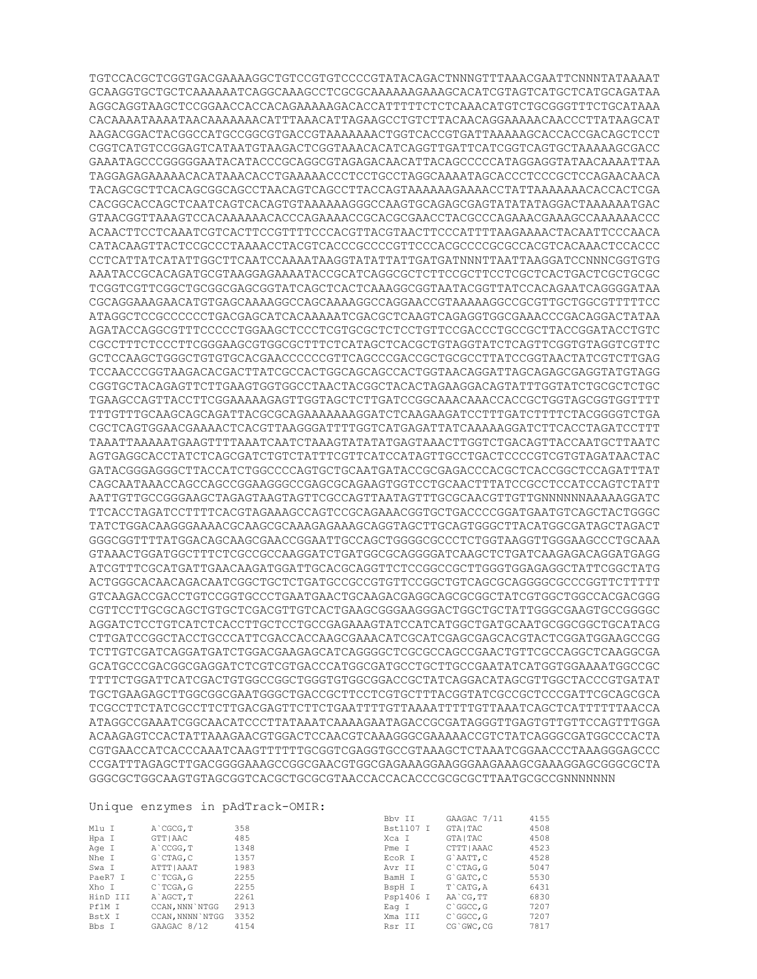TGTCCACGCTCGGTGACGAAAAGGCTGTCCGTGTCCCCGTATACAGACTNNNGTTTAAACGAATTCNNNTATAAAAT GCAAGGTGCTGCTCAAAAAATCAGGCAAAGCCTCGCGCAAAAAAGAAAGCACATCGTAGTCATGCTCATGCAGATAA AGGCAGGTAAGCTCCGGAACCACCACAGAAAAAGACACCATTTTTCTCTCAAACATGTCTGCGGGTTTCTGCATAAA CACAAAATAAAATAACAAAAAAACATTTAAACATTAGAAGCCTGTCTTACAACAGGAAAAACAACCCTTATAAGCAT AAGACGGACTACGGCCATGCCGGCGTGACCGTAAAAAAACTGGTCACCGTGATTAAAAAGCACCACCGACAGCTCCT CGGTCATGTCCGGAGTCATAATGTAAGACTCGGTAAACACATCAGGTTGATTCATCGGTCAGTGCTAAAAAGCGACC GAAATAGCCCGGGGGAATACATACCCGCAGGCGTAGAGACAACATTACAGCCCCCATAGGAGGTATAACAAAATTAA TAGGAGAGAAAAACACATAAACACCTGAAAAACCCTCCTGCCTAGGCAAAATAGCACCCTCCCGCTCCAGAACAACA TACAGCGCTTCACAGCGGCAGCCTAACAGTCAGCCTTACCAGTAAAAAAGAAAACCTATTAAAAAAACACCACTCGA CACGGCACCAGCTCAATCAGTCACAGTGTAAAAAAGGGCCAAGTGCAGAGCGAGTATATATAGGACTAAAAAATGAC GTAACGGTTAAAGTCCACAAAAAACACCCAGAAAACCGCACGCGAACCTACGCCCAGAAACGAAAGCCAAAAAACCC ACAACTTCCTCAAATCGTCACTTCCGTTTTCCCACGTTACGTAACTTCCCATTTTAAGAAAACTACAATTCCCAACA CATACAAGTTACTCCGCCCTAAAACCTACGTCACCCGCCCCGTTCCCACGCCCCGCGCCACGTCACAAACTCCACCC CCTCATTATCATATTGGCTTCAATCCAAAATAAGGTATATTATTGATGATNNNTTAATTAAGGATCCNNNCGGTGTG AAATACCGCACAGATGCGTAAGGAGAAAATACCGCATCAGGCGCTCTTCCGCTTCCTCGCTCACTGACTCGCTGCGC TCGGTCGTTCGGCTGCGGCGAGCGGTATCAGCTCACTCAAAGGCGGTAATACGGTTATCCACAGAATCAGGGGATAA CGCAGGAAAGAACATGTGAGCAAAAGGCCAGCAAAAGGCCAGGAACCGTAAAAAGGCCGCGTTGCTGGCGTTTTTCC ATAGGCTCCGCCCCCCTGACGAGCATCACAAAAATCGACGCTCAAGTCAGAGGTGGCGAAACCCGACAGGACTATAA AGATACCAGGCGTTTCCCCCTGGAAGCTCCCTCGTGCGCTCTCCTGTTCCGACCCTGCCGCTTACCGGATACCTGTC CGCCTTTCTCCCTTCGGGAAGCGTGGCGCTTTCTCATAGCTCACGCTGTAGGTATCTCAGTTCGGTGTAGGTCGTTC GCTCCAAGCTGGGCTGTGTGCACGAACCCCCCGTTCAGCCCGACCGCTGCGCCTTATCCGGTAACTATCGTCTTGAG TCCAACCCGGTAAGACACGACTTATCGCCACTGGCAGCAGCCACTGGTAACAGGATTAGCAGAGCGAGGTATGTAGG CGGTGCTACAGAGTTCTTGAAGTGGTGGCCTAACTACGGCTACACTAGAAGGACAGTATTTGGTATCTGCGCTCTGC TGAAGCCAGTTACCTTCGGAAAAAGAGTTGGTAGCTCTTGATCCGGCAAACAAACCACCGCTGGTAGCGGTGGTTTT TTTGTTTGCAAGCAGCAGATTACGCGCAGAAAAAAAGGATCTCAAGAAGATCCTTTGATCTTTTCTACGGGGTCTGA CGCTCAGTGGAACGAAAACTCACGTTAAGGGATTTTGGTCATGAGATTATCAAAAAGGATCTTCACCTAGATCCTTT TAAATTAAAAATGAAGTTTTAAATCAATCTAAAGTATATATGAGTAAACTTGGTCTGACAGTTACCAATGCTTAATC AGTGAGGCACCTATCTCAGCGATCTGTCTATTTCGTTCATCCATAGTTGCCTGACTCCCCGTCGTGTAGATAACTAC GATACGGGAGGGCTTACCATCTGGCCCCAGTGCTGCAATGATACCGCGAGACCCACGCTCACCGGCTCCAGATTTAT CAGCAATAAACCAGCCAGCCGGAAGGGCCGAGCGCAGAAGTGGTCCTGCAACTTTATCCGCCTCCATCCAGTCTATT AATTGTTGCCGGGAAGCTAGAGTAAGTAGTTCGCCAGTTAATAGTTTGCGCAACGTTGTTGNNNNNNAAAAAGGATC TTCACCTAGATCCTTTTCACGTAGAAAGCCAGTCCGCAGAAACGGTGCTGACCCCGGATGAATGTCAGCTACTGGGC TATCTGGACAAGGGAAAACGCAAGCGCAAAGAGAAAGCAGGTAGCTTGCAGTGGGCTTACATGGCGATAGCTAGACT GGGCGGTTTTATGGACAGCAAGCGAACCGGAATTGCCAGCTGGGGCGCCCTCTGGTAAGGTTGGGAAGCCCTGCAAA GTAAACTGGATGGCTTTCTCGCCGCCAAGGATCTGATGGCGCAGGGGATCAAGCTCTGATCAAGAGACAGGATGAGG ATCGTTTCGCATGATTGAACAAGATGGATTGCACGCAGGTTCTCCGGCCGCTTGGGTGGAGAGGCTATTCGGCTATG ACTGGGCACAACAGACAATCGGCTGCTCTGATGCCGCCGTGTTCCGGCTGTCAGCGCAGGGGCGCCCGGTTCTTTTT GTCAAGACCGACCTGTCCGGTGCCCTGAATGAACTGCAAGACGAGGCAGCGCGGCTATCGTGGCTGGCCACGACGGG CGTTCCTTGCGCAGCTGTGCTCGACGTTGTCACTGAAGCGGGAAGGGACTGGCTGCTATTGGGCGAAGTGCCGGGGC AGGATCTCCTGTCATCTCACCTTGCTCCTGCCGAGAAAGTATCCATCATGGCTGATGCAATGCGGCGGCTGCATACG CTTGATCCGGCTACCTGCCCATTCGACCACCAAGCGAAACATCGCATCGAGCGAGCACGTACTCGGATGGAAGCCGG TCTTGTCGATCAGGATGATCTGGACGAAGAGCATCAGGGGCTCGCGCCAGCCGAACTGTTCGCCAGGCTCAAGGCGA GCATGCCCGACGGCGAGGATCTCGTCGTGACCCATGGCGATGCCTGCTTGCCGAATATCATGGTGGAAAATGGCCGC TTTTCTGGATTCATCGACTGTGGCCGGCTGGGTGTGGCGGACCGCTATCAGGACATAGCGTTGGCTACCCGTGATAT TGCTGAAGAGCTTGGCGGCGAATGGGCTGACCGCTTCCTCGTGCTTTACGGTATCGCCGCTCCCGATTCGCAGCGCA TCGCCTTCTATCGCCTTCTTGACGAGTTCTTCTGAATTTTGTTAAAATTTTTGTTAAATCAGCTCATTTTTTAACCA ATAGGCCGAAATCGGCAACATCCCTTATAAATCAAAAGAATAGACCGCGATAGGGTTGAGTGTTGTTCCAGTTTGGA ACAAGAGTCCACTATTAAAGAACGTGGACTCCAACGTCAAAGGGCGAAAAACCGTCTATCAGGGCGATGGCCCACTA CGTGAACCATCACCCAAATCAAGTTTTTTGCGGTCGAGGTGCCGTAAAGCTCTAAATCGGAACCCTAAAGGGAGCCC CCGATTTAGAGCTTGACGGGGAAAGCCGGCGAACGTGGCGAGAAAGGAAGGGAAGAAAGCGAAAGGAGCGGGCGCTA GGGCGCTGGCAAGTGTAGCGGTCACGCTGCGCGTAACCACCACACCCGCGCGCTTAATGCGCCGNNNNNNN

## Unique enzymes in pAdTrack-OMIR:

|          |                  | UNIQUE CHAYMED IN PROIERCH UNIIN. |           |                  |      |
|----------|------------------|-----------------------------------|-----------|------------------|------|
|          |                  |                                   | Bby II    | GAAGAC 7/11      | 4155 |
| Mlu I    | A CGCG, T        | 358                               | Bst1107 I | <b>GTAITAC</b>   | 4508 |
| Hpa I    | GTT   AAC        | 485                               | Xca I     | <b>GTAITAC</b>   | 4508 |
| Age I    | A CCGG, T        | 1348                              | Pme I     | CTTT   AAAC      | 4523 |
| Nhe I    | $G$ $CTAG$ , $C$ | 1357                              | EcoR I    | G`AATT, C        | 4528 |
| Swa I    | ATTT   AAAT      | 1983                              | Avr II    | $C$ $CTAG$ , $G$ | 5047 |
| PaeR7 I  | C`TCGA, G        | 2255                              | BamH I    | $G$ $GATC$ , $C$ | 5530 |
| Xho I    | C`TCGA, G        | 2255                              | BspH I    | T CATG, A        | 6431 |
| HinD III | A AGCT.T         | 2261                              | Psp1406 I | AA`CG, TT        | 6830 |
| PflM I   | CCAN.NNN NTGG    | 2913                              | Eag I     | C GGCC, G        | 7207 |
| BstX I   | CCAN, NNNN `NTGG | 3352                              | Xma III   | $C$ $GC$ , $G$   | 7207 |
| Bbs I    | GAAGAC 8/12      | 4154                              | Rsr II    | CG GWC.CG        | 7817 |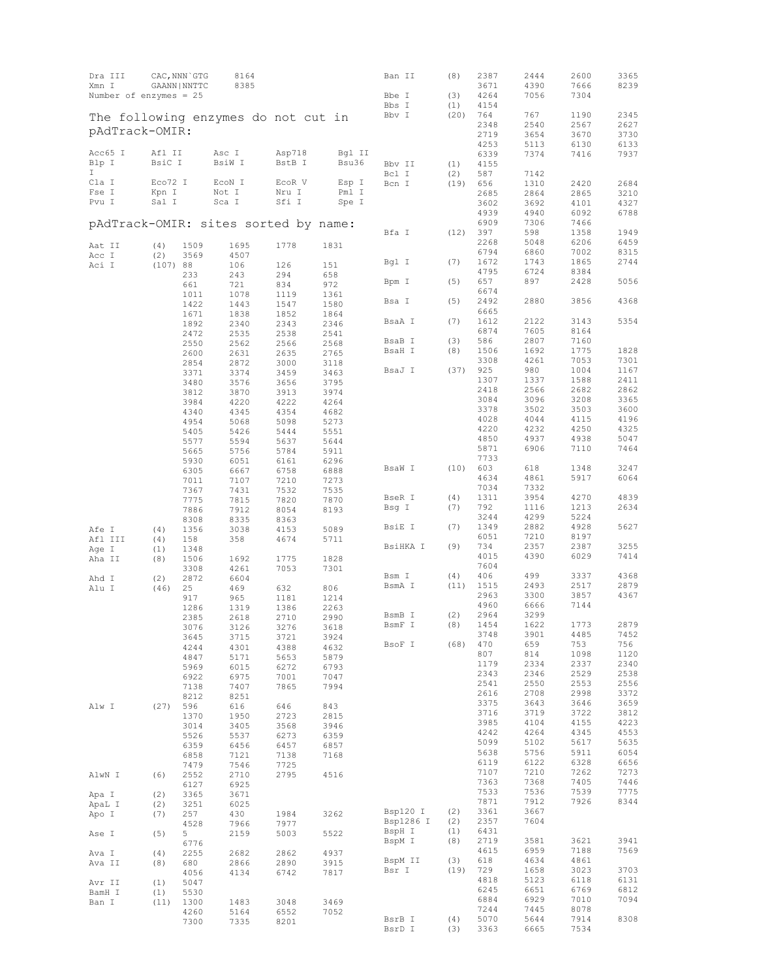| Dra III<br>Xmn I                     |             | CAC, NNN GTG<br>GAANN   NNTTC | 8164<br>8385 |              |              | Ban II    | (8)  | 2387<br>3671 | 2444<br>4390 | 2600<br>7666 | 3365<br>8239 |
|--------------------------------------|-------------|-------------------------------|--------------|--------------|--------------|-----------|------|--------------|--------------|--------------|--------------|
| Number of enzymes = $25$             |             |                               |              |              |              | Bbe I     | (3)  | 4264         | 7056         | 7304         |              |
|                                      |             |                               |              |              |              | Bbs I     | (1)  | 4154         |              |              |              |
| The following enzymes do not cut in  |             |                               |              |              |              | Bbv I     | (20) | 764          | 767          | 1190         | 2345         |
| pAdTrack-OMIR:                       |             |                               |              |              |              |           |      | 2348         | 2540         | 2567         | 2627         |
|                                      |             |                               |              |              |              |           |      | 2719<br>4253 | 3654<br>5113 | 3670<br>6130 | 3730<br>6133 |
| Acc65 I                              | Afl II      |                               | Asc I        | Asp718       | Bgl II       |           |      | 6339         | 7374         | 7416         | 7937         |
| Blp I                                | BsiC I      |                               | BsiW I       | BstB I       | Bsu36        | Bbv II    | (1)  | 4155         |              |              |              |
| I.                                   |             |                               |              |              |              | Bcl I     | (2)  | 587          | 7142         |              |              |
| Cla I                                | Eco72 I     |                               | ECON I       | ECOR V       | Esp I        | Bcn I     | (19) | 656          | 1310         | 2420         | 2684         |
| Fse I                                | Kpn I       |                               | Not I        | Nru I        | Pml I        |           |      | 2685         | 2864         | 2865         | 3210         |
| Pvu I                                | Sal I       |                               | Sca I        | Sfi I        | Spe I        |           |      | 3602         | 3692         | 4101         | 4327         |
| pAdTrack-OMIR: sites sorted by name: |             |                               |              |              |              |           |      | 4939<br>6909 | 4940<br>7306 | 6092<br>7466 | 6788         |
|                                      |             |                               |              |              |              | Bfa I     | (12) | 397          | 598          | 1358         | 1949         |
| Aat II                               | (4)         | 1509                          | 1695         | 1778         | 1831         |           |      | 2268         | 5048         | 6206         | 6459         |
| Acc I                                | (2)         | 3569                          | 4507         |              |              |           |      | 6794         | 6860         | 7002         | 8315         |
| Aci I                                | (107) 88    |                               | 106          | 126          | 151          | Bgl I     | (7)  | 1672         | 1743         | 1865         | 2744         |
|                                      |             | 233                           | 243          | 294          | 658          |           |      | 4795         | 6724         | 8384         |              |
|                                      |             | 661                           | 721          | 834          | 972          | Bpm I     | (5)  | 657<br>6674  | 897          | 2428         | 5056         |
|                                      |             | 1011                          | 1078         | 1119         | 1361         | Bsa I     | (5)  | 2492         | 2880         | 3856         | 4368         |
|                                      |             | 1422<br>1671                  | 1443<br>1838 | 1547<br>1852 | 1580<br>1864 |           |      | 6665         |              |              |              |
|                                      |             | 1892                          | 2340         | 2343         | 2346         | BsaA I    | (7)  | 1612         | 2122         | 3143         | 5354         |
|                                      |             | 2472                          | 2535         | 2538         | 2541         |           |      | 6874         | 7605         | 8164         |              |
|                                      |             | 2550                          | 2562         | 2566         | 2568         | BsaB I    | (3)  | 586          | 2807         | 7160         |              |
|                                      |             | 2600                          | 2631         | 2635         | 2765         | BsaH I    | (8)  | 1506         | 1692         | 1775         | 1828         |
|                                      |             | 2854                          | 2872         | 3000         | 3118         | BsaJ I    | (37) | 3308<br>925  | 4261<br>980  | 7053<br>1004 | 7301<br>1167 |
|                                      |             | 3371<br>3480                  | 3374<br>3576 | 3459<br>3656 | 3463<br>3795 |           |      | 1307         | 1337         | 1588         | 2411         |
|                                      |             | 3812                          | 3870         | 3913         | 3974         |           |      | 2418         | 2566         | 2682         | 2862         |
|                                      |             | 3984                          | 4220         | 4222         | 4264         |           |      | 3084         | 3096         | 3208         | 3365         |
|                                      |             | 4340                          | 4345         | 4354         | 4682         |           |      | 3378         | 3502         | 3503         | 3600         |
|                                      |             | 4954                          | 5068         | 5098         | 5273         |           |      | 4028         | 4044         | 4115         | 4196         |
|                                      |             | 5405                          | 5426         | 5444         | 5551         |           |      | 4220         | 4232         | 4250         | 4325         |
|                                      |             | 5577                          | 5594         | 5637         | 5644         |           |      | 4850<br>5871 | 4937<br>6906 | 4938<br>7110 | 5047<br>7464 |
|                                      |             | 5665<br>5930                  | 5756<br>6051 | 5784<br>6161 | 5911<br>6296 |           |      | 7733         |              |              |              |
|                                      |             | 6305                          | 6667         | 6758         | 6888         | BsaW I    | (10) | 603          | 618          | 1348         | 3247         |
|                                      |             | 7011                          | 7107         | 7210         | 7273         |           |      | 4634         | 4861         | 5917         | 6064         |
|                                      |             | 7367                          | 7431         | 7532         | 7535         |           |      | 7034         | 7332         |              |              |
|                                      |             | 7775                          | 7815         | 7820         | 7870         | BseR I    | (4)  | 1311         | 3954         | 4270         | 4839         |
|                                      |             | 7886                          | 7912         | 8054         | 8193         | Bsg I     | (7)  | 792<br>3244  | 1116<br>4299 | 1213<br>5224 | 2634         |
|                                      |             | 8308                          | 8335         | 8363         |              | BsiE I    | (7)  | 1349         | 2882         | 4928         | 5627         |
| Afe I<br>Afl III                     | (4)<br>(4)  | 1356                          | 3038<br>358  | 4153<br>4674 | 5089<br>5711 |           |      | 6051         | 7210         | 8197         |              |
| Age I                                | (1)         | 158<br>1348                   |              |              |              | BsiHKA I  | (9)  | 734          | 2357         | 2387         | 3255         |
| Aha II                               | (8)         | 1506                          | 1692         | 1775         | 1828         |           |      | 4015         | 4390         | 6029         | 7414         |
|                                      |             | 3308                          | 4261         | 7053         | 7301         |           |      | 7604         |              |              |              |
| Ahd I                                | (2)         | 2872                          | 6604         |              |              | Bsm I     | (4)  | 406          | 499          | 3337         | 4368         |
| Alu I                                | (46)        | 25                            | 469          | 632          | 806          | BsmA I    | (11) | 1515<br>2963 | 2493<br>3300 | 2517<br>3857 | 2879<br>4367 |
|                                      |             | 917                           | 965          | 1181<br>1386 | 1214         |           |      | 4960         | 6666         | 7144         |              |
|                                      |             | 1286<br>2385                  | 1319<br>2618 | 2710         | 2263<br>2990 | BsmB I    | (2)  | 2964         | 3299         |              |              |
|                                      |             | 3076                          | 3126         | 3276         | 3618         | BsmF I    | (8)  | 1454         | 1622         | 1773         | 2879         |
|                                      |             | 3645                          | 3715         | 3721         | 3924         |           |      | 3748         | 3901         | 4485         | 7452         |
|                                      |             | 4244                          | 4301         | 4388         | 4632         | BsoF I    | (68) | 470          | 659          | 753          | 756          |
|                                      |             | 4847                          | 5171         | 5653         | 5879         |           |      | 807<br>1179  | 814<br>2334  | 1098<br>2337 | 1120<br>2340 |
|                                      |             | 5969                          | 6015         | 6272         | 6793         |           |      | 2343         | 2346         | 2529         | 2538         |
|                                      |             | 6922<br>7138                  | 6975<br>7407 | 7001<br>7865 | 7047<br>7994 |           |      | 2541         | 2550         | 2553         | 2556         |
|                                      |             | 8212                          | 8251         |              |              |           |      | 2616         | 2708         | 2998         | 3372         |
| Alw I                                | (27)        | 596                           | 616          | 646          | 843          |           |      | 3375         | 3643         | 3646         | 3659         |
|                                      |             | 1370                          | 1950         | 2723         | 2815         |           |      | 3716         | 3719         | 3722         | 3812         |
|                                      |             | 3014                          | 3405         | 3568         | 3946         |           |      | 3985         | 4104         | 4155         | 4223         |
|                                      |             | 5526                          | 5537         | 6273         | 6359         |           |      | 4242<br>5099 | 4264<br>5102 | 4345<br>5617 | 4553<br>5635 |
|                                      |             | 6359                          | 6456         | 6457         | 6857         |           |      | 5638         | 5756         | 5911         | 6054         |
|                                      |             | 6858<br>7479                  | 7121<br>7546 | 7138<br>7725 | 7168         |           |      | 6119         | 6122         | 6328         | 6656         |
| AlwN I                               | (6)         | 2552                          | 2710         | 2795         | 4516         |           |      | 7107         | 7210         | 7262         | 7273         |
|                                      |             | 6127                          | 6925         |              |              |           |      | 7363         | 7368         | 7405         | 7446         |
| Apa I                                | (2)         | 3365                          | 3671         |              |              |           |      | 7533         | 7536         | 7539         | 7775         |
| ApaL I                               | (2)         | 3251                          | 6025         |              |              | Bsp120 I  | (2)  | 7871<br>3361 | 7912<br>3667 | 7926         | 8344         |
| Apo I                                | (7)         | 257                           | 430          | 1984         | 3262         | Bsp1286 I | (2)  | 2357         | 7604         |              |              |
| Ase I                                | (5)         | 4528<br>5                     | 7966<br>2159 | 7977<br>5003 | 5522         | BspH I    | (1)  | 6431         |              |              |              |
|                                      |             | 6776                          |              |              |              | BspM I    | (8)  | 2719         | 3581         | 3621         | 3941         |
| Ava I                                | (4)         | 2255                          | 2682         | 2862         | 4937         |           |      | 4615         | 6959         | 7188         | 7569         |
| Ava II                               | (8)         | 680                           | 2866         | 2890         | 3915         | BspM II   | (3)  | 618          | 4634         | 4861         |              |
|                                      |             | 4056                          | 4134         | 6742         | 7817         | Bsr I     | (19) | 729<br>4818  | 1658<br>5123 | 3023<br>6118 | 3703<br>6131 |
| Avr II                               | (1)         | 5047                          |              |              |              |           |      | 6245         | 6651         | 6769         | 6812         |
| BamH I<br>Ban I                      | (1)<br>(11) | 5530<br>1300                  | 1483         | 3048         | 3469         |           |      | 6884         | 6929         | 7010         | 7094         |
|                                      |             | 4260                          | 5164         | 6552         | 7052         |           |      | 7244         | 7445         | 8078         |              |
|                                      |             | 7300                          | 7335         | 8201         |              | BsrB I    | (4)  | 5070         | 5644         | 7914         | 8308         |
|                                      |             |                               |              |              |              | BsrD I    | (3)  | 3363         | 6665         | 7534         |              |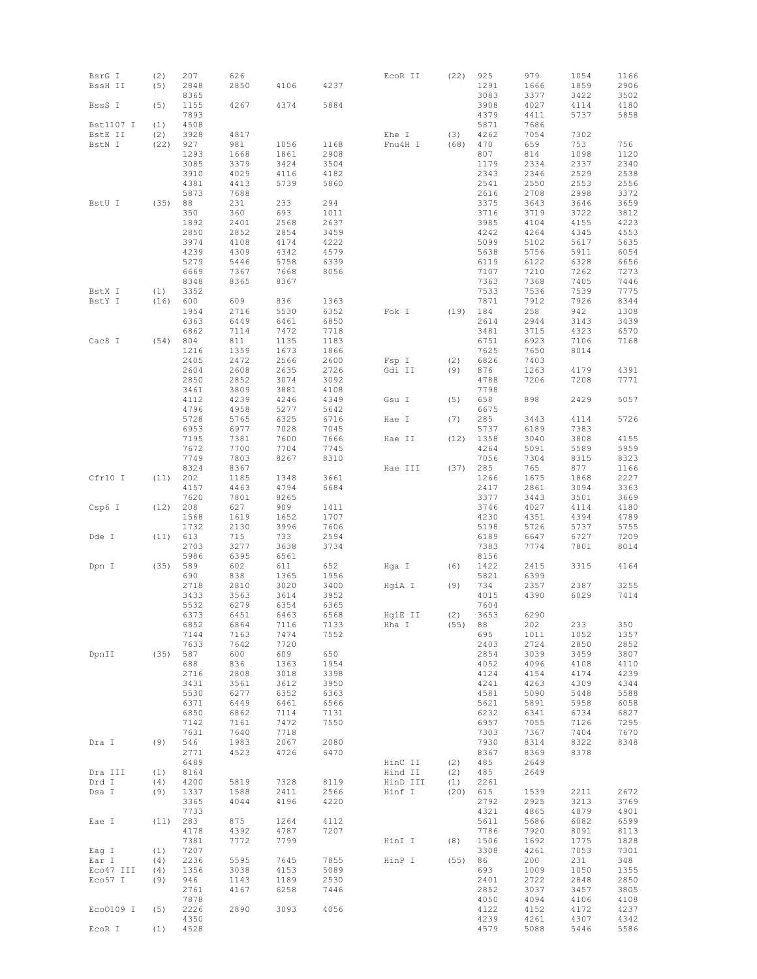| BsrG I    | (2)  | 207          | 626          |              |              | ECOR II  | (22) | 925          | 979          | 1054         | 1166         |
|-----------|------|--------------|--------------|--------------|--------------|----------|------|--------------|--------------|--------------|--------------|
| BssH II   | (5)  | 2848         | 2850         | 4106         | 4237         |          |      | 1291         | 1666         | 1859         | 2906         |
|           |      | 8365         |              |              |              |          |      | 3083         | 3377         | 3422         | 3502         |
| BssS I    | (5)  | 1155         | 4267         | 4374         | 5884         |          |      | 3908         | 4027         | 4114         | 4180         |
|           |      | 7893         |              |              |              |          |      | 4379         | 4411         | 5737         | 5858         |
| Bst1107 I | (1)  | 4508         |              |              |              |          |      | 5871         | 7686         |              |              |
| BstE II   | (2)  | 3928         | 4817         |              |              | Ehe I    | (3)  | 4262         | 7054         | 7302         |              |
| BstN I    | (22) | 927          | 981          | 1056         | 1168         | Fnu4H I  | (68) | 470          | 659          | 753          | 756          |
|           |      | 1293         | 1668         | 1861         | 2908         |          |      | 807          | 814          | 1098         | 1120         |
|           |      | 3085         | 3379         | 3424         | 3504         |          |      | 1179         | 2334         | 2337         | 2340         |
|           |      | 3910         | 4029         | 4116         | 4182         |          |      | 2343         | 2346         | 2529         | 2538         |
|           |      | 4381         | 4413         | 5739         | 5860         |          |      | 2541         | 2550         | 2553         | 2556         |
|           |      | 5873         | 7688         |              |              |          |      | 2616         | 2708         | 2998         | 3372         |
| BstU I    | (35) | 88<br>350    | 231<br>360   | 233<br>693   | 294          |          |      | 3375<br>3716 | 3643<br>3719 | 3646         | 3659         |
|           |      | 1892         | 2401         | 2568         | 1011<br>2637 |          |      | 3985         | 4104         | 3722<br>4155 | 3812<br>4223 |
|           |      | 2850         | 2852         | 2854         | 3459         |          |      | 4242         | 4264         | 4345         | 4553         |
|           |      | 3974         | 4108         | 4174         | 4222         |          |      | 5099         | 5102         | 5617         | 5635         |
|           |      | 4239         | 4309         | 4342         | 4579         |          |      | 5638         | 5756         | 5911         | 6054         |
|           |      | 5279         | 5446         | 5758         | 6339         |          |      | 6119         | 6122         | 6328         | 6656         |
|           |      | 6669         | 7367         | 7668         | 8056         |          |      | 7107         | 7210         | 7262         | 7273         |
|           |      | 8348         | 8365         | 8367         |              |          |      | 7363         | 7368         | 7405         | 7446         |
| BstX I    | (1)  | 3352         |              |              |              |          |      | 7533         | 7536         | 7539         | 7775         |
| BstY I    | (16) | 600          | 609          | 836          | 1363         |          |      | 7871         | 7912         | 7926         | 8344         |
|           |      | 1954         | 2716         | 5530         | 6352         | Fok I    | (19) | 184          | 258          | 942          | 1308         |
|           |      | 6363         | 6449         | 6461         | 6850         |          |      | 2614         | 2944         | 3143         | 3439         |
|           |      | 6862         | 7114         | 7472         | 7718         |          |      | 3481         | 3715         | 4323         | 6570         |
| Cac8 I    | (54) | 804          | 811          | 1135         | 1183         |          |      | 6751         | 6923         | 7106         | 7168         |
|           |      | 1216         | 1359         | 1673         | 1866         |          |      | 7625         | 7650         | 8014         |              |
|           |      | 2405         | 2472         | 2566         | 2600         | Fsp I    | (2)  | 6826         | 7403         |              |              |
|           |      | 2604         | 2608         | 2635         | 2726         | Gdi II   | (9)  | 876          | 1263         | 4179         | 4391         |
|           |      | 2850         | 2852         | 3074         | 3092         |          |      | 4788         | 7206         | 7208         | 7771         |
|           |      | 3461         | 3809         | 3881         | 4108         |          |      | 7798         |              |              |              |
|           |      | 4112         | 4239         | 4246         | 4349         | Gsu I    | (5)  | 658          | 898          | 2429         | 5057         |
|           |      | 4796         | 4958         | 5277         | 5642         |          |      | 6675         |              |              |              |
|           |      | 5728         | 5765         | 6325         | 6716         | Hae I    | (7)  | 285          | 3443         | 4114         | 5726         |
|           |      | 6953         | 6977         | 7028         | 7045         |          |      | 5737         | 6189         | 7383         |              |
|           |      | 7195         | 7381         | 7600         | 7666         | Hae II   | (12) | 1358         | 3040         | 3808         | 4155         |
|           |      | 7672<br>7749 | 7700<br>7803 | 7704<br>8267 | 7745<br>8310 |          |      | 4264<br>7056 | 5091<br>7304 | 5589<br>8315 | 5959         |
|           |      | 8324         | 8367         |              |              | Hae III  | (37) | 285          | 765          | 877          | 8323<br>1166 |
| Cfr10 I   | (11) | 202          | 1185         | 1348         | 3661         |          |      | 1266         | 1675         | 1868         | 2227         |
|           |      | 4157         | 4463         | 4794         | 6684         |          |      | 2417         | 2861         | 3094         | 3363         |
|           |      | 7620         | 7801         | 8265         |              |          |      | 3377         | 3443         | 3501         | 3669         |
| Csp6 I    | (12) | 208          | 627          | 909          | 1411         |          |      | 3746         | 4027         | 4114         | 4180         |
|           |      | 1568         | 1619         | 1652         | 1707         |          |      | 4230         | 4351         | 4394         | 4789         |
|           |      | 1732         | 2130         | 3996         | 7606         |          |      | 5198         | 5726         | 5737         | 5755         |
| Dde I     | (11) | 613          | 715          | 733          | 2594         |          |      | 6189         | 6647         | 6727         | 7209         |
|           |      | 2703         | 3277         | 3638         | 3734         |          |      | 7383         | 7774         | 7801         | 8014         |
|           |      | 5986         | 6395         | 6561         |              |          |      | 8156         |              |              |              |
| Dpn I     | (35) | 589          | 602          | 611          | 652          | Hga I    | (6)  | 1422         | 2415         | 3315         | 4164         |
|           |      | 690          | 838          | 1365         | 1956         |          |      | 5821         | 6399         |              |              |
|           |      | 2718         | 2810         | 3020         | 3400         | HgiA I   | (9)  | 734          | 2357         | 2387         | 3255         |
|           |      | 3433         | 3563         | 3614         | 3952         |          |      | 4015         | 4390         | 6029         | 7414         |
|           |      | 5532         | 6279         | 6354         | 6365         |          |      | 7604         |              |              |              |
|           |      | 6373         | 6451         | 6463         | 6568         | HgiE II  | (2)  | 3653         | 6290         |              |              |
|           |      | 6852<br>7144 | 6864<br>7163 | 7116<br>7474 | 7133<br>7552 | Hha I    | (55) | 88 —<br>695  | 202<br>1011  | 233<br>1052  | 350<br>1357  |
|           |      | 7633         | 7642         | 7720         |              |          |      | 2403         | 2724         | 2850         | 2852         |
| DpnII     | (35) | 587          | 600          | 609          | 650          |          |      | 2854         | 3039         | 3459         | 3807         |
|           |      | 688          | 836          | 1363         | 1954         |          |      | 4052         | 4096         | 4108         | 4110         |
|           |      | 2716         | 2808         | 3018         | 3398         |          |      | 4124         | 4154         | 4174         | 4239         |
|           |      | 3431         | 3561         | 3612         | 3950         |          |      | 4241         | 4263         | 4309         | 4344         |
|           |      | 5530         | 6277         | 6352         | 6363         |          |      | 4581         | 5090         | 5448         | 5588         |
|           |      | 6371         | 6449         | 6461         | 6566         |          |      | 5621         | 5891         | 5958         | 6058         |
|           |      | 6850         | 6862         | 7114         | 7131         |          |      | 6232         | 6341         | 6734         | 6827         |
|           |      | 7142         | 7161         | 7472         | 7550         |          |      | 6957         | 7055         | 7126         | 7295         |
|           |      | 7631         | 7640         | 7718         |              |          |      | 7303         | 7367         | 7404         | 7670         |
| Dra I     | (9)  | 546          | 1983         | 2067         | 2080         |          |      | 7930         | 8314         | 8322         | 8348         |
|           |      | 2771         | 4523         | 4726         | 6470         |          |      | 8367         | 8369         | 8378         |              |
|           |      | 6489         |              |              |              | HinC II  | (2)  | 485          | 2649         |              |              |
| Dra III   | (1)  | 8164         |              |              |              | Hind II  | (2)  | 485          | 2649         |              |              |
| Drd I     | (4)  | 4200         | 5819         | 7328         | 8119         | HinD III | (1)  | 2261         |              |              |              |
| Dsa I     | (9)  | 1337         | 1588         | 2411         | 2566         | Hinf I   | (20) | 615          | 1539         | 2211         | 2672         |
|           |      | 3365         | 4044         | 4196         | 4220         |          |      | 2792         | 2925         | 3213         | 3769         |
|           |      | 7733         |              |              |              |          |      | 4321         | 4865         | 4879         | 4901         |
| Eae I     | (11) | 283          | 875          | 1264         | 4112         |          |      | 5611         | 5686         | 6082         | 6599         |
|           |      | 4178<br>7381 | 4392<br>7772 | 4787<br>7799 | 7207         | HinI I   | (8)  | 7786<br>1506 | 7920<br>1692 | 8091<br>1775 | 8113<br>1828 |
| Eag I     | (1)  | 7207         |              |              |              |          |      | 3308         | 4261         | 7053         | 7301         |
| Ear I     | (4)  | 2236         | 5595         | 7645         | 7855         | HinP I   | (55) | 86           | 200          | 231          | 348          |
| Eco47 III | (4)  | 1356         | 3038         | 4153         | 5089         |          |      | 693          | 1009         | 1050         | 1355         |
| Eco57 I   | (9)  | 946          | 1143         | 1189         | 2530         |          |      | 2401         | 2722         | 2848         | 2850         |
|           |      | 2761         | 4167         | 6258         | 7446         |          |      | 2852         | 3037         | 3457         | 3805         |
|           |      | 7878         |              |              |              |          |      | 4050         | 4094         | 4106         | 4108         |
| Eco0109 I | (5)  | 2226         | 2890         | 3093         | 4056         |          |      | 4122         | 4152         | 4172         | 4237         |
|           |      | 4350         |              |              |              |          |      | 4239         | 4261         | 4307         | 4342         |
| EcoR I    | (1)  | 4528         |              |              |              |          |      | 4579         | 5088         | 5446         | 5586         |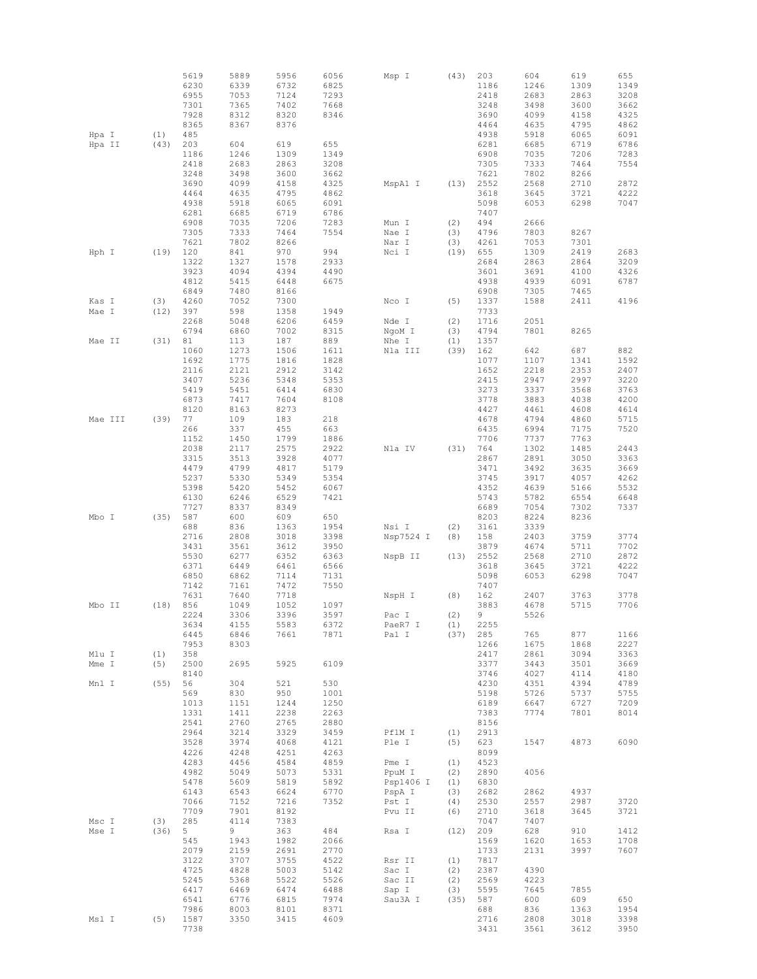|         |      | 5619 | 5889 | 5956 | 6056 | Msp I     | (43) | 203  | 604  | 619  | 655  |
|---------|------|------|------|------|------|-----------|------|------|------|------|------|
|         |      | 6230 | 6339 | 6732 | 6825 |           |      | 1186 | 1246 | 1309 | 1349 |
|         |      | 6955 | 7053 | 7124 | 7293 |           |      | 2418 | 2683 | 2863 | 3208 |
|         |      | 7301 | 7365 | 7402 | 7668 |           |      | 3248 | 3498 | 3600 | 3662 |
|         |      | 7928 | 8312 | 8320 | 8346 |           |      | 3690 | 4099 | 4158 | 4325 |
|         |      | 8365 | 8367 | 8376 |      |           |      | 4464 | 4635 | 4795 | 4862 |
| Hpa I   | (1)  | 485  |      |      |      |           |      | 4938 | 5918 | 6065 | 6091 |
| Hpa II  | (43) | 203  | 604  | 619  | 655  |           |      | 6281 | 6685 | 6719 | 6786 |
|         |      | 1186 | 1246 | 1309 | 1349 |           |      | 6908 | 7035 | 7206 | 7283 |
|         |      | 2418 | 2683 | 2863 | 3208 |           |      | 7305 | 7333 | 7464 | 7554 |
|         |      | 3248 | 3498 | 3600 | 3662 |           |      | 7621 | 7802 | 8266 |      |
|         |      | 3690 | 4099 | 4158 | 4325 | MspA1 I   | (13) | 2552 | 2568 | 2710 | 2872 |
|         |      | 4464 | 4635 | 4795 | 4862 |           |      | 3618 | 3645 | 3721 | 4222 |
|         |      | 4938 | 5918 | 6065 | 6091 |           |      | 5098 | 6053 | 6298 | 7047 |
|         |      | 6281 | 6685 | 6719 | 6786 |           |      | 7407 |      |      |      |
|         |      | 6908 | 7035 | 7206 | 7283 | Mun I     | (2)  | 494  | 2666 |      |      |
|         |      | 7305 | 7333 | 7464 | 7554 | Nae I     | (3)  | 4796 | 7803 | 8267 |      |
|         |      | 7621 | 7802 | 8266 |      | Nar I     | (3)  | 4261 | 7053 | 7301 |      |
| Hph I   | (19) | 120  | 841  | 970  | 994  | Nci I     | (19) | 655  | 1309 | 2419 | 2683 |
|         |      | 1322 | 1327 | 1578 | 2933 |           |      | 2684 | 2863 | 2864 | 3209 |
|         |      | 3923 | 4094 | 4394 | 4490 |           |      | 3601 | 3691 | 4100 | 4326 |
|         |      | 4812 | 5415 | 6448 | 6675 |           |      | 4938 | 4939 | 6091 | 6787 |
|         |      | 6849 | 7480 | 8166 |      |           |      | 6908 | 7305 | 7465 |      |
| Kas I   | (3)  | 4260 | 7052 | 7300 |      | Nco I     | (5)  | 1337 | 1588 | 2411 | 4196 |
| Mae I   | (12) | 397  | 598  | 1358 | 1949 |           |      | 7733 |      |      |      |
|         |      | 2268 | 5048 | 6206 | 6459 | Nde I     | (2)  | 1716 | 2051 |      |      |
|         |      | 6794 | 6860 | 7002 | 8315 | NgoM I    | (3)  | 4794 | 7801 | 8265 |      |
| Mae II  | (31) | 81   | 113  | 187  | 889  | Nhe I     | (1)  | 1357 |      |      |      |
|         |      | 1060 | 1273 | 1506 | 1611 | Nla III   | (39) | 162  | 642  | 687  | 882  |
|         |      | 1692 | 1775 | 1816 | 1828 |           |      | 1077 | 1107 | 1341 | 1592 |
|         |      | 2116 | 2121 | 2912 | 3142 |           |      | 1652 | 2218 | 2353 | 2407 |
|         |      | 3407 | 5236 | 5348 | 5353 |           |      | 2415 | 2947 | 2997 | 3220 |
|         |      | 5419 | 5451 | 6414 | 6830 |           |      | 3273 | 3337 | 3568 | 3763 |
|         |      | 6873 | 7417 | 7604 | 8108 |           |      | 3778 | 3883 | 4038 | 4200 |
|         |      | 8120 | 8163 | 8273 |      |           |      | 4427 | 4461 | 4608 | 4614 |
| Mae III | (39) | 77   | 109  | 183  | 218  |           |      | 4678 | 4794 | 4860 | 5715 |
|         |      | 266  | 337  | 455  | 663  |           |      | 6435 | 6994 | 7175 | 7520 |
|         |      | 1152 | 1450 | 1799 | 1886 |           |      | 7706 | 7737 | 7763 |      |
|         |      | 2038 | 2117 | 2575 | 2922 | Nla IV    | (31) | 764  | 1302 | 1485 | 2443 |
|         |      | 3315 | 3513 | 3928 | 4077 |           |      | 2867 | 2891 | 3050 | 3363 |
|         |      | 4479 | 4799 | 4817 | 5179 |           |      | 3471 | 3492 | 3635 | 3669 |
|         |      | 5237 | 5330 | 5349 | 5354 |           |      | 3745 | 3917 | 4057 | 4262 |
|         |      | 5398 | 5420 | 5452 | 6067 |           |      | 4352 | 4639 | 5166 | 5532 |
|         |      | 6130 | 6246 | 6529 | 7421 |           |      | 5743 | 5782 | 6554 | 6648 |
|         |      | 7727 | 8337 | 8349 |      |           |      | 6689 | 7054 | 7302 | 7337 |
| Mbo I   | (35) | 587  | 600  | 609  | 650  |           |      | 8203 | 8224 | 8236 |      |
|         |      | 688  | 836  | 1363 | 1954 | Nsi I     | (2)  | 3161 | 3339 |      |      |
|         |      | 2716 | 2808 | 3018 | 3398 | Nsp7524 I | (8)  | 158  | 2403 | 3759 | 3774 |
|         |      | 3431 | 3561 | 3612 | 3950 |           |      | 3879 | 4674 | 5711 | 7702 |
|         |      | 5530 | 6277 | 6352 | 6363 | NspB II   | (13) | 2552 | 2568 | 2710 | 2872 |
|         |      | 6371 | 6449 | 6461 | 6566 |           |      | 3618 | 3645 | 3721 | 4222 |
|         |      | 6850 | 6862 | 7114 | 7131 |           |      | 5098 | 6053 | 6298 | 7047 |
|         |      | 7142 | 7161 | 7472 | 7550 |           |      | 7407 |      |      |      |
|         |      | 7631 | 7640 | 7718 |      | NspH I    | (8)  | 162  | 2407 | 3763 | 3778 |
| Mbo II  | (18) | 856  | 1049 | 1052 | 1097 |           |      | 3883 | 4678 | 5715 | 7706 |
|         |      | 2224 | 3306 | 3396 | 3597 | Pac I     | (2)  | 9    | 5526 |      |      |
|         |      | 3634 | 4155 | 5583 | 6372 | PaeR7 I   | (1)  | 2255 |      |      |      |
|         |      | 6445 | 6846 | 7661 | 7871 | Pal I     | (37) | 285  | 765  | 877  | 1166 |
|         |      | 7953 | 8303 |      |      |           |      | 1266 | 1675 | 1868 | 2227 |
| Mlu I   | (1)  | 358  |      |      |      |           |      | 2417 | 2861 | 3094 | 3363 |
| Mme I   | (5)  | 2500 | 2695 | 5925 | 6109 |           |      | 3377 | 3443 | 3501 | 3669 |
|         |      | 8140 |      |      |      |           |      | 3746 | 4027 | 4114 | 4180 |
| Mnl I   | (55) | 56   | 304  | 521  | 530  |           |      | 4230 | 4351 | 4394 | 4789 |
|         |      | 569  | 830  | 950  | 1001 |           |      | 5198 | 5726 | 5737 | 5755 |
|         |      | 1013 | 1151 | 1244 | 1250 |           |      | 6189 | 6647 | 6727 | 7209 |
|         |      | 1331 | 1411 | 2238 | 2263 |           |      | 7383 | 7774 | 7801 | 8014 |
|         |      | 2541 | 2760 | 2765 | 2880 |           |      | 8156 |      |      |      |
|         |      | 2964 | 3214 | 3329 | 3459 | PflM I    | (1)  | 2913 |      |      |      |
|         |      | 3528 | 3974 | 4068 | 4121 | Ple I     | (5)  | 623  | 1547 | 4873 | 6090 |
|         |      | 4226 | 4248 | 4251 | 4263 |           |      | 8099 |      |      |      |
|         |      | 4283 | 4456 | 4584 | 4859 | Pme I     | (1)  | 4523 |      |      |      |
|         |      | 4982 | 5049 | 5073 | 5331 | PpuM I    | (2)  | 2890 | 4056 |      |      |
|         |      | 5478 | 5609 | 5819 | 5892 | Psp1406 I | (1)  | 6830 |      |      |      |
|         |      | 6143 | 6543 | 6624 | 6770 | PspA I    | (3)  | 2682 | 2862 | 4937 |      |
|         |      | 7066 | 7152 | 7216 | 7352 | Pst I     | (4)  | 2530 | 2557 | 2987 | 3720 |
|         |      | 7709 | 7901 | 8192 |      | Pvu II    | (6)  | 2710 | 3618 | 3645 | 3721 |
| Msc I   | (3)  | 285  | 4114 | 7383 |      |           |      | 7047 | 7407 |      |      |
| Mse I   | (36) | 5    | 9    | 363  | 484  | Rsa I     | (12) | 209  | 628  | 910  | 1412 |
|         |      | 545  | 1943 | 1982 | 2066 |           |      | 1569 | 1620 | 1653 | 1708 |
|         |      | 2079 | 2159 | 2691 | 2770 |           |      | 1733 | 2131 | 3997 | 7607 |
|         |      | 3122 | 3707 | 3755 | 4522 | Rsr II    | (1)  | 7817 |      |      |      |
|         |      | 4725 | 4828 | 5003 | 5142 | Sac I     | (2)  | 2387 | 4390 |      |      |
|         |      | 5245 | 5368 | 5522 | 5526 | Sac II    | (2)  | 2569 | 4223 |      |      |
|         |      | 6417 | 6469 | 6474 | 6488 | Sap I     | (3)  | 5595 | 7645 | 7855 |      |
|         |      | 6541 | 6776 | 6815 | 7974 | Sau3A I   | (35) | 587  | 600  | 609  | 650  |
|         |      | 7986 | 8003 | 8101 | 8371 |           |      | 688  | 836  | 1363 | 1954 |
| Msl I   | (5)  | 1587 | 3350 | 3415 | 4609 |           |      | 2716 | 2808 | 3018 | 3398 |
|         |      | 7738 |      |      |      |           |      | 3431 | 3561 | 3612 | 3950 |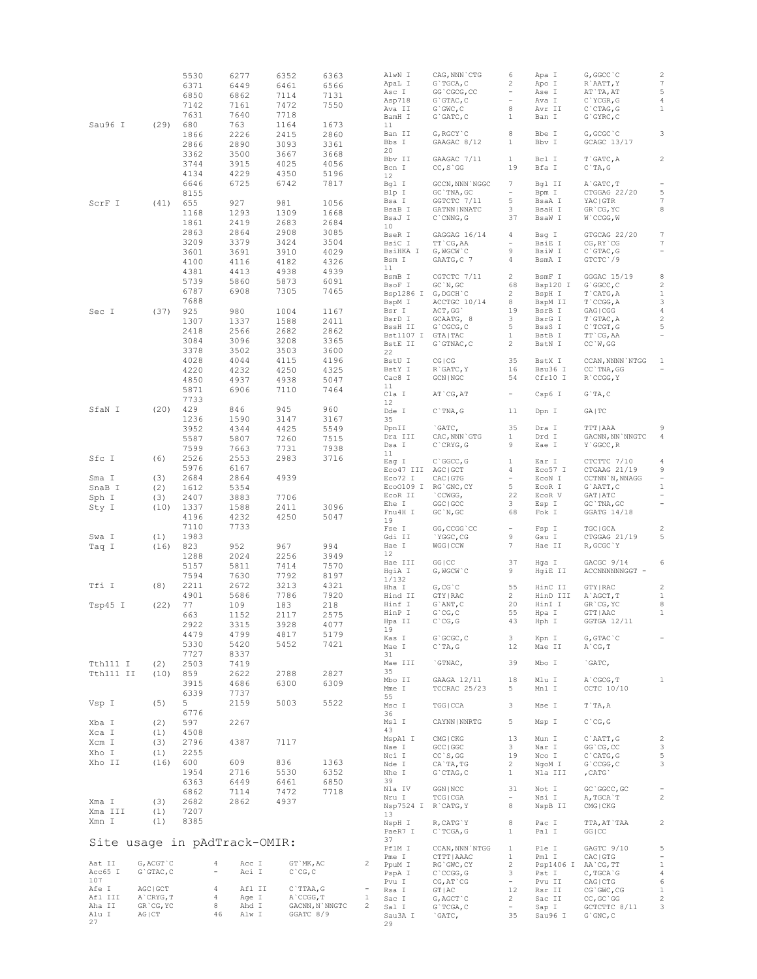|           |               | 5530 | 6277                         | 6352        | 6363           |              | AlwN I              | CAG, NNN `CTG                                 | 6                               | Apa I               | G, GGCC `C                    | $\overline{c}$           |
|-----------|---------------|------|------------------------------|-------------|----------------|--------------|---------------------|-----------------------------------------------|---------------------------------|---------------------|-------------------------------|--------------------------|
|           |               | 6371 | 6449                         | 6461        | 6566           |              | ApaL I              | $G$ TGCA, C                                   | 2                               | Apo I               | R`AATT, Y                     | $\boldsymbol{7}$         |
|           |               | 6850 | 6862                         | 7114        |                |              | Asc I               | GG`CGCG, CC                                   | $\frac{1}{2}$ and $\frac{1}{2}$ | Ase I               | AT`TA, AT                     | $\mathbb S$              |
|           |               |      |                              |             | 7131           |              | Asp718              | $G$ $GTAC$ , $C$                              | $\frac{1}{2}$ and $\frac{1}{2}$ | Ava I               | C`YCGR, G                     | $\overline{4}$           |
|           |               | 7142 | 7161                         | 7472        | 7550           |              | Ava II              | $G$ $GWC$ , $C$                               | 8                               | Avr II              | $C$ $CTAG, G$                 | $\mathbf{1}$             |
|           |               | 7631 | 7640                         | 7718        |                |              | BamH I              | $G$ $GATC$ , $C$                              | $\mathbf{1}$                    | Ban I               | $G$ GYRC, $C$                 |                          |
| Sau96 I   | (29)          | 680  | 763                          | 1164        | 1673           |              | 11                  |                                               |                                 |                     |                               |                          |
|           |               |      | 2226                         | 2415        | 2860           |              | Ban II              | $G, RGCY$ $C$                                 | 8                               | Bbe I               | G, GCGC `C                    | 3                        |
|           |               | 1866 |                              |             |                |              | Bbs I               |                                               | $\mathbf{1}$                    | Bbv I               |                               |                          |
|           |               | 2866 | 2890                         | 3093        | 3361           |              |                     | GAAGAC 8/12                                   |                                 |                     | GCAGC 13/17                   |                          |
|           |               | 3362 | 3500                         | 3667        | 3668           |              | 20                  |                                               |                                 |                     |                               |                          |
|           |               | 3744 | 3915                         | 4025        | 4056           |              | Bbv II              | GAAGAC 7/11                                   | $\mathbf{1}$                    | Bcl I               | T`GATC, A                     | $\overline{c}$           |
|           |               |      |                              |             |                |              | Bcn I               | $CC, S$ GG                                    | 19                              | Bfa I               | $C$ TA, G                     |                          |
|           |               | 4134 | 4229                         | 4350        | 5196           |              | 12                  |                                               |                                 |                     |                               |                          |
|           |               | 6646 | 6725                         | 6742        | 7817           |              | Bgl I               | GCCN, NNN `NGGC                               | $7\phantom{.0}$                 | Bgl II              | A`GATC, T                     |                          |
|           |               | 8155 |                              |             |                |              | Blp I               | GC `TNA, GC                                   | $\sim$                          | Bpm I               | CTGGAG 22/20                  | 5                        |
| ScrF I    | (41)          | 655  | 927                          | 981         | 1056           |              | Bsa I               | GGTCTC 7/11                                   | 5                               | BsaA I              | YAC   GTR                     | $\overline{7}$           |
|           |               |      |                              |             |                |              | BsaB I              | GATNN   NNATC                                 | $\mathbf{3}$                    | BsaH I              | GR CG, YC                     | 8                        |
|           |               | 1168 | 1293                         | 1309        | 1668           |              | BsaJ I              | $C$ $\cap$ $CNNG$ , $G$                       | 37                              | BsaW I              | W`CCGG, W                     |                          |
|           |               | 1861 | 2419                         | 2683        | 2684           |              | 10                  |                                               |                                 |                     |                               |                          |
|           |               | 2863 | 2864                         | 2908        | 3085           |              | BseR I              | GAGGAG 16/14                                  | 4                               | Bsq I               | GTGCAG 22/20                  | $\boldsymbol{7}$         |
|           |               | 3209 | 3379                         | 3424        | 3504           |              |                     |                                               |                                 |                     |                               |                          |
|           |               |      |                              |             |                |              | BsiC I              | TT CG, AA                                     | $\sim$                          | BsiE I              | CG, RY CG                     | 7                        |
|           |               | 3601 | 3691                         | 3910        | 4029           |              | BsiHKA I            | G, WGCW`C                                     | 9                               | BsiW I              | $C$ GTAC, G                   | $\qquad \qquad -$        |
|           |               | 4100 | 4116                         | 4182        | 4326           |              | Bsm I               | GAATG, C 7                                    | 4                               | BsmA I              | GTCTC 79                      |                          |
|           |               | 4381 | 4413                         | 4938        | 4939           |              | 11                  |                                               |                                 |                     |                               |                          |
|           |               | 5739 | 5860                         | 5873        | 6091           |              | BsmB I              | CGTCTC 7/11                                   | $2^{\circ}$                     | BsmF I              | GGGAC 15/19                   | $\,$ 8 $\,$              |
|           |               |      |                              |             |                |              | BsoF I              | GC'N, GC                                      | 68                              | Bsp120 I            | G`GGCC, C                     | $\overline{c}$           |
|           |               | 6787 | 6908                         | 7305        | 7465           |              |                     | Bsp1286 I G, DGCH'C                           | $\overline{2}$                  | BspH I              | T`CATG, A                     | $\mathbf{1}$             |
|           |               | 7688 |                              |             |                |              | BspM I              | ACCTGC 10/14                                  | 8                               | BspM II             | $T$ $CCGG, A$                 | 3                        |
| Sec I     | (37)          | 925  | 980                          | 1004        | 1167           |              | Bsr I               | ACT, GG`                                      | 19                              | BsrB I              | GAG   CGG                     | $\overline{4}$           |
|           |               | 1307 | 1337                         | 1588        | 2411           |              | BsrD I              | GCAATG, 8                                     | $\mathbf{3}$                    | BsrG I              | T`GTAC, A                     | $\overline{c}$           |
|           |               |      |                              |             |                |              | BssH II             | $G$ $^{\circ}$ CGCG, C                        | $5 -$                           | BssS I              | C`TCGT, G                     | 5                        |
|           |               | 2418 | 2566                         | 2682        | 2862           |              | Bst1107 I GTA TAC   |                                               | $\mathbf{1}$                    | BstB I              | TT `CG, AA                    | $\overline{\phantom{a}}$ |
|           |               | 3084 | 3096                         | 3208        | 3365           |              | BstE II             | G`GTNAC, C                                    | $\overline{2}$                  | BstN I              | CC'W, GG                      |                          |
|           |               | 3378 | 3502                         | 3503        | 3600           |              | 22                  |                                               |                                 |                     |                               |                          |
|           |               | 4028 | 4044                         | 4115        | 4196           |              | BstU I              | <b>CGICG</b>                                  | 35                              | BstX I              | CCAN, NNNN `NTGG              | $\mathbf{1}$             |
|           |               |      |                              |             |                |              |                     |                                               |                                 |                     |                               |                          |
|           |               | 4220 | 4232                         | 4250        | 4325           |              | BstY I              | R`GATC, Y                                     | 16                              | Bsu36 I             | CC `TNA, GG                   | $\qquad \qquad -$        |
|           |               | 4850 | 4937                         | 4938        | 5047           |              | Cac8 I              | GCN   NGC                                     | 54                              | Cfr10 I             | R`CCGG, Y                     |                          |
|           |               | 5871 | 6906                         | 7110        | 7464           |              | 11                  |                                               |                                 |                     |                               |                          |
|           |               | 7733 |                              |             |                |              | Cla I               | AT CG, AT                                     | $\sim$ .                        | Csp6 I              | $G$ TA, $C$                   |                          |
|           |               |      |                              |             |                |              | $12 \overline{ }$   |                                               |                                 |                     |                               |                          |
| SfaN I    | (20)          | 429  | 846                          | 945         | 960            |              | Dde I               | $C$ TNA, $G$                                  | 11                              | Dpn I               | GA   TC                       |                          |
|           |               | 1236 | 1590                         | 3147        | 3167           |              | 35                  |                                               |                                 |                     |                               |                          |
|           |               | 3952 | 4344                         | 4425        | 5549           |              | DpnII               | `GATC,                                        | 35                              | Dra I               | TTT   AAA                     | 9                        |
|           |               | 5587 | 5807                         | 7260        | 7515           |              | Dra III             | CAC, NNN `GTG                                 | $\mathbf{1}$                    | Drd I               | GACNN, NN `NNGTC              | 4                        |
|           |               |      |                              |             |                |              | Dsa I               | $C$ $CRYG$ , $G$                              | 9                               | Eae I               | Y`GGCC, R                     |                          |
|           |               | 7599 | 7663                         | 7731        | 7938           |              | 11                  |                                               |                                 |                     |                               |                          |
| Sfc I     | (6)           | 2526 | 2553                         | 2983        | 3716           |              |                     | $C$ $C$ $C$ , $C$                             | $\mathbf{1}$                    | Ear I               | CTCTTC 7/10                   | $\sqrt{4}$               |
|           |               | 5976 | 6167                         |             |                |              | Eag I               |                                               |                                 |                     |                               |                          |
|           |               |      |                              |             |                |              | Eco47 III AGC GCT   |                                               | $4 -$                           | Eco57 I             | CTGAAG 21/19                  | 9                        |
| Sma I     | (3)           | 2684 | 2864                         | 4939        |                |              | Eco72 I             | CAC   GTG                                     | $\sim$ .                        | ECON I              | CCTNN`N, NNAGG                | $\overline{\phantom{a}}$ |
| SnaB I    | (2)           | 1612 | 5354                         |             |                |              |                     | Eco0109 I RG'GNC, CY                          | $5 -$                           | ECOR I              | G`AATT, C                     | $\mathbf{1}$             |
| Sph I     | (3)           | 2407 | 3883                         | 7706        |                |              | ECOR II             | CCWGG,                                        | 22                              | EcoR V              | GAT   ATC                     | $\overline{\phantom{a}}$ |
| Sty I     | (10)          | 1337 | 1588                         | 2411        | 3096           |              | Ehe I               | GGC   GCC                                     | $3 -$                           | Esp I               | $GC$ `TNA, $GC$               |                          |
|           |               |      |                              |             |                |              | Fnu4H I             | GC'N, GC                                      | 68                              | Fok I               | GGATG 14/18                   |                          |
|           |               | 4196 | 4232                         | 4250        | 5047           |              | 19                  |                                               |                                 |                     |                               |                          |
|           |               | 7110 | 7733                         |             |                |              | Fse I               | GG, CCGG 'CC                                  | $\sim$                          | Fsp I               | TGC   GCA                     | $\sqrt{2}$               |
| Swa I     | (1)           | 1983 |                              |             |                |              | Gdi II              | `YGGC, CG                                     | 9                               | Gsu I               | CTGGAG 21/19                  | 5                        |
| Taq I     | (16)          | 823  | 952                          | 967         | 994            |              | Hae I               | WGG   CCW                                     | 7                               | Hae II              | R, GCGC `Y                    |                          |
|           |               |      |                              |             |                |              | 12                  |                                               |                                 |                     |                               |                          |
|           |               | 1288 | 2024                         | 2256        | 3949           |              | Hae III             | GG   CC                                       | 37                              | Hqa I               | GACGC 9/14                    | 6                        |
|           |               | 5157 | 5811                         | 7414        | 7570           |              |                     |                                               | 9                               |                     |                               |                          |
|           |               | 7594 | 7630                         | 7792        | 8197           |              | HgiA I              | G, WGCW `C                                    |                                 | HgiE II             | ACCNNNNNNGGT -                |                          |
| Tfi I     | (8)           | 2211 | 2672                         | 3213        | 4321           |              | 1/132               |                                               |                                 |                     |                               |                          |
|           |               |      |                              |             |                |              | Hha I               | $G, CG$ $C$                                   | 55                              | HinC II             | GTY   RAC                     | $\sqrt{2}$               |
|           |               | 4901 | 5686                         | 7786        | 7920           |              | Hind II             | GTY   RAC                                     | $2^{\circ}$                     | HinD III            | A`AGCT, T                     | $\mathbf{1}$             |
| Tsp45 I   | (22)          | 77   | 109                          | 183         | 218            |              | Hinf I              | $G$ ANT, $C$                                  | 20                              | HinI I              | GR CG, YC                     | $^{\rm 8}$               |
|           |               | 663  | 1152                         | 2117        | 2575           |              | HinP I              | $G$ $CG, C$                                   | 55                              | Hpa I               | GTT   AAC                     | $\mathbf{1}$             |
|           |               | 2922 | 3315                         | 3928        | 4077           |              | Hpa II              | $C^{\wedge}CG$ , $G$                          | 43                              | Hph I               | GGTGA 12/11                   |                          |
|           |               | 4479 |                              |             |                |              | 19                  |                                               |                                 |                     |                               |                          |
|           |               |      | 4799                         | 4817        | 5179           |              | Kas I               | $G$ $GCGC$ , $C$                              | 3                               | Kpn I               | $G, GTAC$ $C$                 |                          |
|           |               | 5330 | 5420                         | 5452        | 7421           |              | Mae I               | $\mathbb{C} \, \, \hat{} \,$ TA, $\mathbb{G}$ | 12                              | Mae II              | $A$ $CG, T$                   |                          |
|           |               | 7727 | 8337                         |             |                |              | 31                  |                                               |                                 |                     |                               |                          |
| Tth111 I  | (2)           | 2503 | 7419                         |             |                |              | Mae III             | `GTNAC,                                       | 39                              | Mbo I               | `GATC,                        |                          |
| Tth111 II | (10)          | 859  | 2622                         | 2788        | 2827           |              | 35                  |                                               |                                 |                     |                               |                          |
|           |               |      |                              | 6300        |                |              | Mbo II              | GAAGA 12/11                                   | 18                              | Mlu I               | A`CGCG, T                     | $\mathbf{1}$             |
|           |               | 3915 | 4686                         |             | 6309           |              | Mme I               | TCCRAC 25/23                                  | 5                               | Mnl I               | CCTC 10/10                    |                          |
|           |               | 6339 | 7737                         |             |                |              | 55                  |                                               |                                 |                     |                               |                          |
| Vsp I     | (5)           | 5    | 2159                         | 5003        | 5522           |              | Msc I               | TGG   CCA                                     | 3                               | Mse I               | T`TA, A                       |                          |
|           |               | 6776 |                              |             |                |              | 36                  |                                               |                                 |                     |                               |                          |
| Xba I     | (2)           | 597  | 2267                         |             |                |              | Msl I               | CAYNN   NNRTG                                 | 5                               | Msp I               | $C^{\dagger}CG, G$            |                          |
|           |               |      |                              |             |                |              | 43                  |                                               |                                 |                     |                               |                          |
| Xca I     | (1)           | 4508 |                              |             |                |              | MspA1 I             | CMG   CKG                                     | 13                              | Mun I               | C`AATT, G                     | $\overline{c}$           |
| Xcm I     | (3)           | 2796 | 4387                         | 7117        |                |              | Nae I               |                                               |                                 | Nar I               |                               | 3                        |
| Xho I     | (1)           | 2255 |                              |             |                |              | Nci I               | GCC   GGC<br>$CC$ `S, GG                      | $3 -$<br>19                     | Nco I               | GG`CG, CC<br>$C$ $CATG$ , $G$ | 5                        |
| Xho II    | (16)          | 600  | 609                          | 836         | 1363           |              |                     |                                               |                                 |                     |                               |                          |
|           |               |      |                              |             |                |              | Nde I               | CA`TA, TG                                     | $\overline{2}$                  | NgoM I              | G`CCGG, C                     | 3                        |
|           |               | 1954 | 2716                         | 5530        | 6352           |              | Nhe I               | $G$ $CTAG$ , $C$                              | $\mathbf{1}$                    | Nla III             | , CATG                        |                          |
|           |               | 6363 | 6449                         | 6461        | 6850           |              | 39                  |                                               |                                 |                     |                               |                          |
|           |               | 6862 | 7114                         | 7472        | 7718           |              | Nla IV              | GGN   NCC                                     | 31                              | Not I               | GC `GGCC, GC                  |                          |
| Xma I     | (3)           | 2682 | 2862                         | 4937        |                |              | Nru I               | TCG   CGA                                     | $\sim$ .                        | Nsi I               | A, TGCA`T                     | $\sqrt{2}$               |
|           |               |      |                              |             |                |              | Nsp7524 I R'CATG, Y |                                               | 8                               | NspB II             | CMG   CKG                     |                          |
| Xma III   | (1)           | 7207 |                              |             |                |              | 13                  |                                               |                                 |                     |                               |                          |
| Xmn I     | (1)           | 8385 |                              |             |                |              | NspH I              | R, CATG`Y                                     | 8                               | Pac I               | TTA, AT`TAA                   | $\sqrt{2}$               |
|           |               |      |                              |             |                |              | PaeR7 I             | $C$ TCGA, G                                   | $\mathbf{1}$                    | Pal I               | GG   CC                       |                          |
|           |               |      |                              |             |                |              | 37                  |                                               |                                 |                     |                               |                          |
|           |               |      | Site usage in pAdTrack-OMIR: |             |                |              | PflM I              | CCAN, NNN `NTGG                               | $\mathbf{1}$                    | Ple I               | GAGTC 9/10                    | 5                        |
|           |               |      |                              |             |                |              |                     |                                               |                                 |                     |                               | $\qquad \qquad -$        |
| Aat II    | G, ACGT `C    |      | $\overline{4}$<br>Acc I      | GT `MK, AC  |                | 2            | Pme I               | CTTT   AAAC                                   | $\mathbf{1}$                    | Pml I               | CAC   GTG                     |                          |
|           |               |      | Aci I<br>$\equiv$            |             |                |              | PpuM I              | RG`GWC, CY                                    | 2                               | Psp1406 I AA`CG, TT |                               | $\,1\,$                  |
| Acc65 I   | $G$ GTAC, $C$ |      |                              | $C$ $CG, C$ |                |              | PspA I              | $C$ $CCGG$ , $G$                              | 3                               | Pst I               | C, TGCA G                     | $\overline{4}$           |
| 107       |               |      |                              |             |                |              | Pvu I               | $CG, AT$ $CG$                                 | $\sim$                          | Pvu II              | CAG   CTG                     | 6                        |
| Afe I     | AGC   GCT     |      | $\overline{4}$<br>Afl II     | $C$ TTAA, G |                |              | Rsa I               | GT   AC                                       | 12                              | Rsr II              | CG GWC, CG                    | $\mathbf{1}$             |
| Afl III   | A`CRYG, T     |      | $\overline{4}$<br>Age I      | A`CCGG, T   |                | $\mathbf{1}$ | Sac I               | G, AGCT `C                                    | $\overline{2}$                  | Sac II              | $CC, GC$ ` $GG$               | 2                        |
| Aha II    | GR CG, YC     |      | 8<br>Ahd I                   |             | GACNN, N`NNGTC | 2            | Sal I               | $G$ TCGA, C                                   | $\sim$ $-$                      | Sap I               | GCTCTTC 8/11                  | 3                        |
| Alu I     | $AG$ $ CT$    |      | 46<br>Alw I                  | GGATC 8/9   |                |              | Sau3A I             | `GATC,                                        | 35                              | Sau96 I             | $G$ $GNC$ , $C$               |                          |
|           |               |      |                              |             |                |              |                     |                                               |                                 |                     |                               |                          |
| 27        |               |      |                              |             |                |              | 29                  |                                               |                                 |                     |                               |                          |